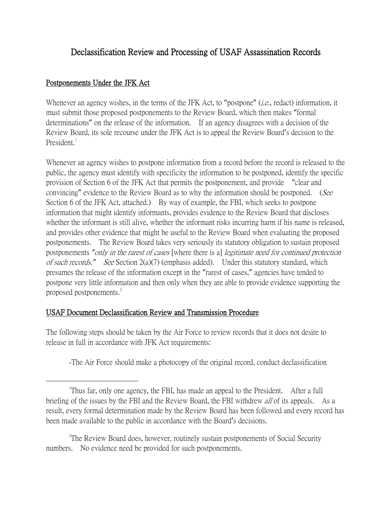## Declassification Review and Processing of USAF Assassination Records

## Postponements Under the JFK Act

Whenever an agency wishes, in the terms of the JFK Act, to "postpone" *(i.e.*, redact) information, it must submit those proposed postponements to the Review Board, which then makes "formal determinations" on the release of the information. If an agency disagrees with a decision of the Review Board, its sole recourse under the JFK Act is to appeal the Review Board's decision to the President.

Whenever an agency wishes to postpone information from a record before the record is released to the public, the agency must identify with specificity the information to be postponed, identify the specific provision of Section 6 of the JFK Act that permits the postponement, and provide "clear and convincing" evidence to the Review Board as to why the information should be postponed. (See Section 6 of the JFK Act, attached.) By way of example, the FBI, which seeks to postpone information that might identify informants, provides evidence to the Review Board that discloses whether the informant is still alive, whether the informant risks incurring harm if his name is released, and provides other evidence that might be useful to the Review Board when evaluating the proposed postponements. The Review Board takes very seriously its statutory obligation to sustain proposed postponements *"*only in the rarest of cases [where there is a] legitimate need for continued protection of such records.*"* See Section 2(a)(7) (emphasis added). Under this statutory standard, which presumes the release of the information except in the "rarest of cases," agencies have tended to postpone very little information and then only when they are able to provide evidence supporting the proposed postponements.<sup>[2](#page-0-1)</sup>

## USAF Document Declassification Review and Transmission Procedure

The following steps should be taken by the Air Force to review records that it does not desire to release in full in accordance with JFK Act requirements:

-The Air Force should make a photocopy of the original record, conduct declassification

<span id="page-0-1"></span><sup>2</sup>The Review Board does, however, routinely sustain postponements of Social Security numbers. No evidence need be provided for such postponements.

<span id="page-0-0"></span> $\overline{\phantom{a}}$ <sup>1</sup>Thus far, only one agency, the FBI, has made an appeal to the President. After a full briefing of the issues by the FBI and the Review Board, the FBI withdrew *all* of its appeals. As a result, every formal determination made by the Review Board has been followed and every record has been made available to the public in accordance with the Board's decisions.